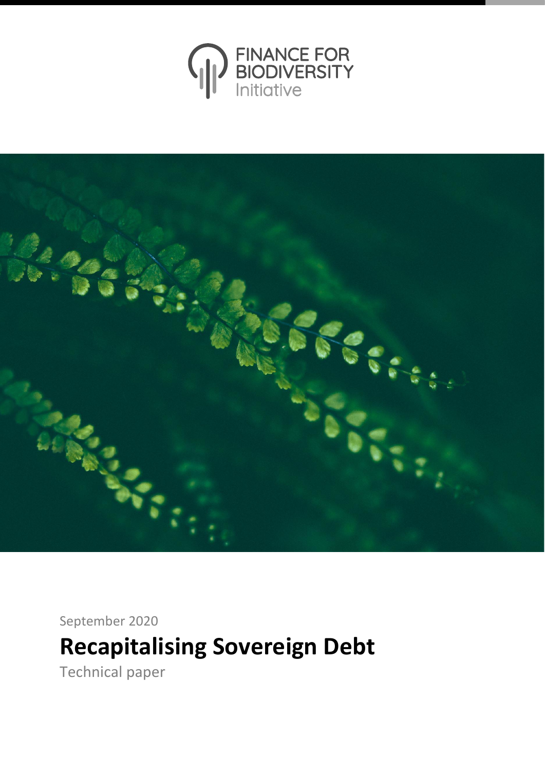



September 2020

# **Recapitalising Sovereign Debt**

Technical paper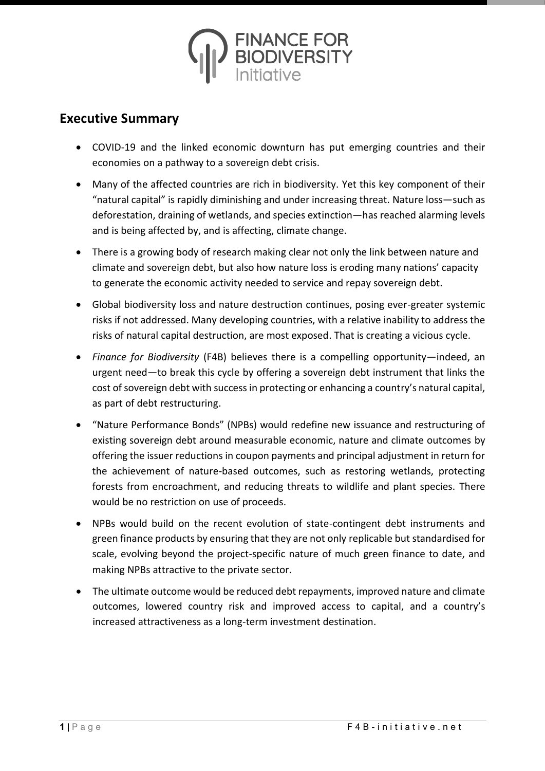

# **Executive Summary**

- COVID-19 and the linked economic downturn has put emerging countries and their economies on a pathway to a sovereign debt crisis.
- Many of the affected countries are rich in biodiversity. Yet this key component of their "natural capital" is rapidly diminishing and under increasing threat. Nature loss—such as deforestation, draining of wetlands, and species extinction—has reached alarming levels and is being affected by, and is affecting, climate change.
- There is a growing body of research making clear not only the link between nature and climate and sovereign debt, but also how nature loss is eroding many nations' capacity to generate the economic activity needed to service and repay sovereign debt.
- Global biodiversity loss and nature destruction continues, posing ever-greater systemic risks if not addressed. Many developing countries, with a relative inability to address the risks of natural capital destruction, are most exposed. That is creating a vicious cycle.
- *Finance for Biodiversity* (F4B) believes there is a compelling opportunity—indeed, an urgent need—to break this cycle by offering a sovereign debt instrument that links the cost of sovereign debt with success in protecting or enhancing a country's natural capital, as part of debt restructuring.
- "Nature Performance Bonds" (NPBs) would redefine new issuance and restructuring of existing sovereign debt around measurable economic, nature and climate outcomes by offering the issuer reductions in coupon payments and principal adjustment in return for the achievement of nature-based outcomes, such as restoring wetlands, protecting forests from encroachment, and reducing threats to wildlife and plant species. There would be no restriction on use of proceeds.
- NPBs would build on the recent evolution of state-contingent debt instruments and green finance products by ensuring that they are not only replicable but standardised for scale, evolving beyond the project-specific nature of much green finance to date, and making NPBs attractive to the private sector.
- The ultimate outcome would be reduced debt repayments, improved nature and climate outcomes, lowered country risk and improved access to capital, and a country's increased attractiveness as a long-term investment destination.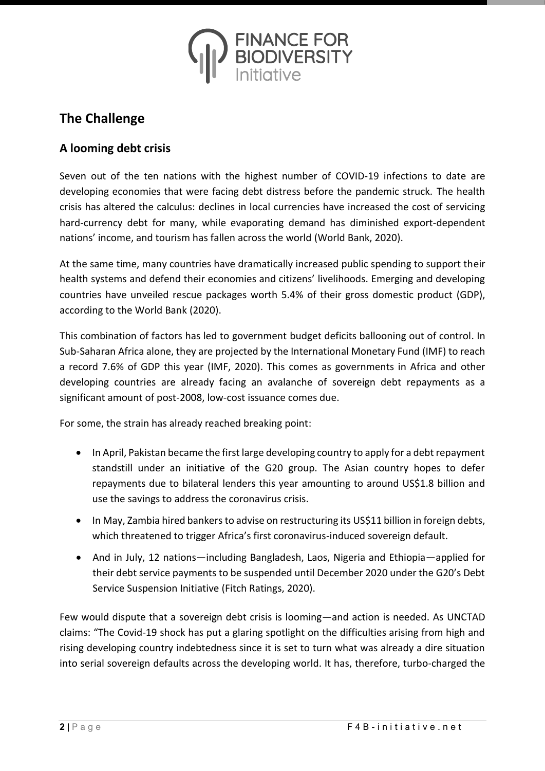

# **The Challenge**

# **A looming debt crisis**

Seven out of the ten nations with the highest number of COVID-19 infections to date are developing economies that were facing debt distress before the pandemic struck. The health crisis has altered the calculus: declines in local currencies have increased the cost of servicing hard-currency debt for many, while evaporating demand has diminished export-dependent nations' income, and tourism has fallen across the world (World Bank, 2020).

At the same time, many countries have dramatically increased public spending to support their health systems and defend their economies and citizens' livelihoods. Emerging and developing countries have unveiled rescue packages worth 5.4% of their gross domestic product (GDP), according to the World Bank (2020).

This combination of factors has led to government budget deficits ballooning out of control. In Sub-Saharan Africa alone, they are projected by the International Monetary Fund (IMF) to reach a record 7.6% of GDP this year (IMF, 2020). This comes as governments in Africa and other developing countries are already facing an avalanche of sovereign debt repayments as a significant amount of post-2008, low-cost issuance comes due.

For some, the strain has already reached breaking point:

- In April, Pakistan became the first large developing country to apply for a debt repayment standstill under an initiative of the G20 group. The Asian country hopes to defer repayments due to bilateral lenders this year amounting to around US\$1.8 billion and use the savings to address the coronavirus crisis.
- In May, Zambia hired bankers to advise on restructuring its US\$11 billion in foreign debts, which threatened to trigger Africa's first coronavirus-induced sovereign default.
- And in July, 12 nations—including Bangladesh, Laos, Nigeria and Ethiopia—applied for their debt service payments to be suspended until December 2020 under the G20's Debt Service Suspension Initiative (Fitch Ratings, 2020).

Few would dispute that a sovereign debt crisis is looming—and action is needed. As UNCTAD claims: "The Covid-19 shock has put a glaring spotlight on the difficulties arising from high and rising developing country indebtedness since it is set to turn what was already a dire situation into serial sovereign defaults across the developing world. It has, therefore, turbo-charged the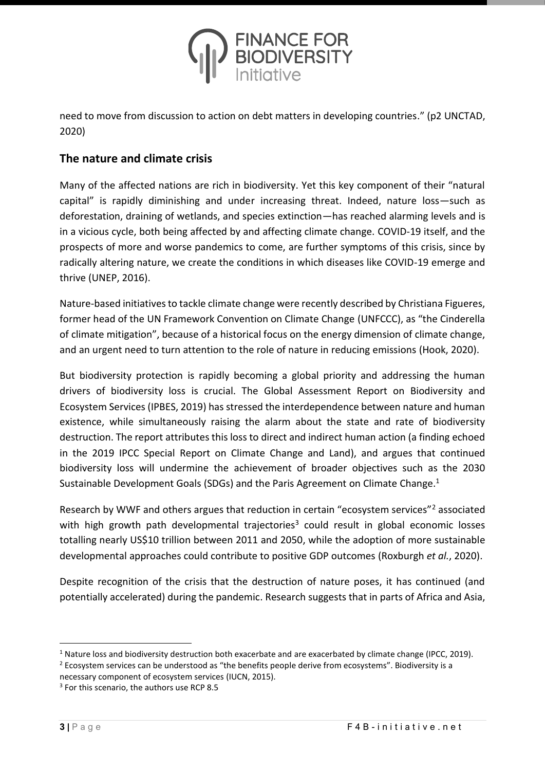

need to move from discussion to action on debt matters in developing countries." (p2 UNCTAD, 2020)

### **The nature and climate crisis**

Many of the affected nations are rich in biodiversity. Yet this key component of their "natural capital" is rapidly diminishing and under increasing threat. Indeed, nature loss—such as deforestation, draining of wetlands, and species extinction—has reached alarming levels and is in a vicious cycle, both being affected by and affecting climate change. COVID-19 itself, and the prospects of more and worse pandemics to come, are further symptoms of this crisis, since by radically altering nature, we create the conditions in which diseases like COVID-19 emerge and thrive (UNEP, 2016).

Nature-based initiatives to tackle climate change were recently described by Christiana Figueres, former head of the UN Framework Convention on Climate Change (UNFCCC), as "the Cinderella of climate mitigation", because of a historical focus on the energy dimension of climate change, and an urgent need to turn attention to the role of nature in reducing emissions (Hook, 2020).

But biodiversity protection is rapidly becoming a global priority and addressing the human drivers of biodiversity loss is crucial. The Global Assessment Report on Biodiversity and Ecosystem Services (IPBES, 2019) has stressed the interdependence between nature and human existence, while simultaneously raising the alarm about the state and rate of biodiversity destruction. The report attributes this loss to direct and indirect human action (a finding echoed in the 2019 IPCC Special Report on Climate Change and Land), and argues that continued biodiversity loss will undermine the achievement of broader objectives such as the 2030 Sustainable Development Goals (SDGs) and the Paris Agreement on Climate Change.<sup>1</sup>

Research by WWF and others argues that reduction in certain "ecosystem services"<sup>2</sup> associated with high growth path developmental trajectories<sup>3</sup> could result in global economic losses totalling nearly US\$10 trillion between 2011 and 2050, while the adoption of more sustainable developmental approaches could contribute to positive GDP outcomes (Roxburgh *et al.*, 2020).

Despite recognition of the crisis that the destruction of nature poses, it has continued (and potentially accelerated) during the pandemic. Research suggests that in parts of Africa and Asia,

 $1$  Nature loss and biodiversity destruction both exacerbate and are exacerbated by climate change (IPCC, 2019).

<sup>&</sup>lt;sup>2</sup> Ecosystem services can be understood as "the benefits people derive from ecosystems". Biodiversity is a necessary component of ecosystem services (IUCN, 2015).

<sup>&</sup>lt;sup>3</sup> For this scenario, the authors use RCP 8.5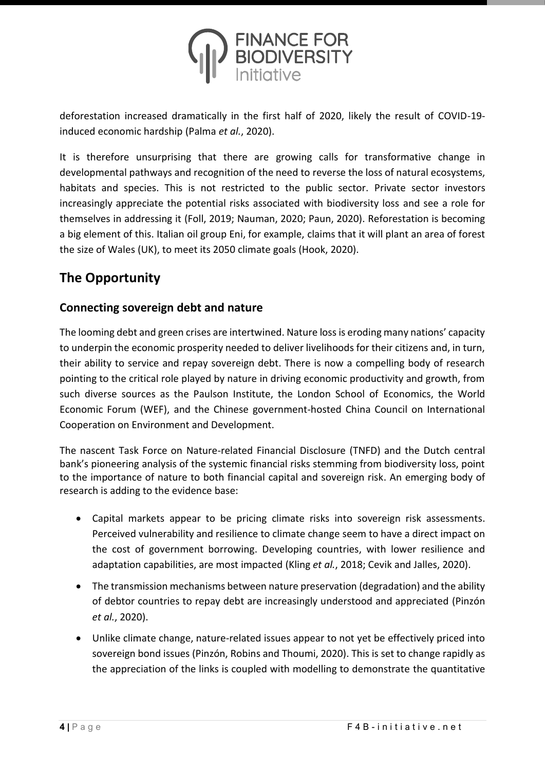

deforestation increased dramatically in the first half of 2020, likely the result of COVID-19 induced economic hardship (Palma *et al.*, 2020).

It is therefore unsurprising that there are growing calls for transformative change in developmental pathways and recognition of the need to reverse the loss of natural ecosystems, habitats and species. This is not restricted to the public sector. Private sector investors increasingly appreciate the potential risks associated with biodiversity loss and see a role for themselves in addressing it (Foll, 2019; Nauman, 2020; Paun, 2020). Reforestation is becoming a big element of this. Italian oil group Eni, for example, claims that it will plant an area of forest the size of Wales (UK), to meet its 2050 climate goals (Hook, 2020).

# **The Opportunity**

# **Connecting sovereign debt and nature**

The looming debt and green crises are intertwined. Nature loss is eroding many nations' capacity to underpin the economic prosperity needed to deliver livelihoods for their citizens and, in turn, their ability to service and repay sovereign debt. There is now a compelling body of research pointing to the critical role played by nature in driving economic productivity and growth, from such diverse sources as the Paulson Institute, the London School of Economics, the World Economic Forum (WEF), and the Chinese government-hosted China Council on International Cooperation on Environment and Development.

The nascent Task Force on Nature-related Financial Disclosure (TNFD) and the Dutch central bank's pioneering analysis of the systemic financial risks stemming from biodiversity loss, point to the importance of nature to both financial capital and sovereign risk. An emerging body of research is adding to the evidence base:

- Capital markets appear to be pricing climate risks into sovereign risk assessments. Perceived vulnerability and resilience to climate change seem to have a direct impact on the cost of government borrowing. Developing countries, with lower resilience and adaptation capabilities, are most impacted (Kling *et al.*, 2018; Cevik and Jalles, 2020).
- The transmission mechanisms between nature preservation (degradation) and the ability of debtor countries to repay debt are increasingly understood and appreciated (Pinzón *et al.*, 2020).
- Unlike climate change, nature-related issues appear to not yet be effectively priced into sovereign bond issues (Pinzón, Robins and Thoumi, 2020). This is set to change rapidly as the appreciation of the links is coupled with modelling to demonstrate the quantitative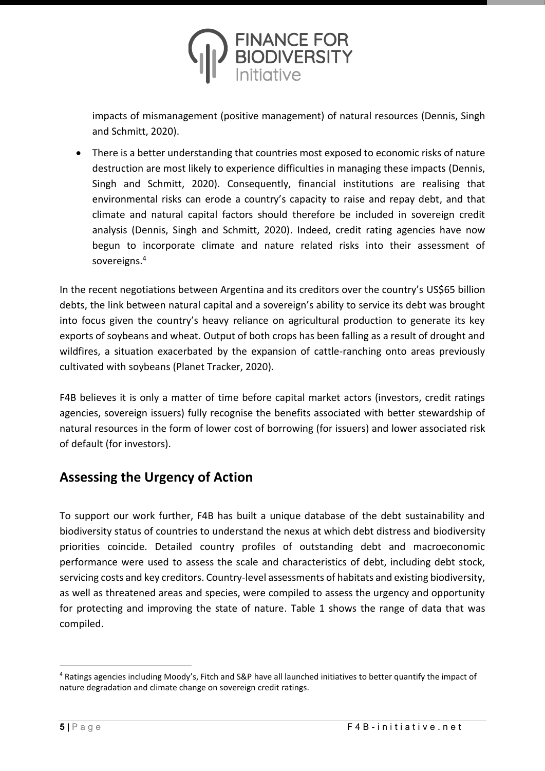

impacts of mismanagement (positive management) of natural resources (Dennis, Singh and Schmitt, 2020).

• There is a better understanding that countries most exposed to economic risks of nature destruction are most likely to experience difficulties in managing these impacts (Dennis, Singh and Schmitt, 2020). Consequently, financial institutions are realising that environmental risks can erode a country's capacity to raise and repay debt, and that climate and natural capital factors should therefore be included in sovereign credit analysis (Dennis, Singh and Schmitt, 2020). Indeed, credit rating agencies have now begun to incorporate climate and nature related risks into their assessment of sovereigns. 4

In the recent negotiations between Argentina and its creditors over the country's US\$65 billion debts, the link between natural capital and a sovereign's ability to service its debt was brought into focus given the country's heavy reliance on agricultural production to generate its key exports of soybeans and wheat. Output of both crops has been falling as a result of drought and wildfires, a situation exacerbated by the expansion of cattle-ranching onto areas previously cultivated with soybeans (Planet Tracker, 2020).

F4B believes it is only a matter of time before capital market actors (investors, credit ratings agencies, sovereign issuers) fully recognise the benefits associated with better stewardship of natural resources in the form of lower cost of borrowing (for issuers) and lower associated risk of default (for investors).

# **Assessing the Urgency of Action**

To support our work further, F4B has built a unique database of the debt sustainability and biodiversity status of countries to understand the nexus at which debt distress and biodiversity priorities coincide. Detailed country profiles of outstanding debt and macroeconomic performance were used to assess the scale and characteristics of debt, including debt stock, servicing costs and key creditors. Country-level assessments of habitats and existing biodiversity, as well as threatened areas and species, were compiled to assess the urgency and opportunity for protecting and improving the state of nature. Table 1 shows the range of data that was compiled.

 $4$  Ratings agencies including Moody's, Fitch and S&P have all launched initiatives to better quantify the impact of nature degradation and climate change on sovereign credit ratings.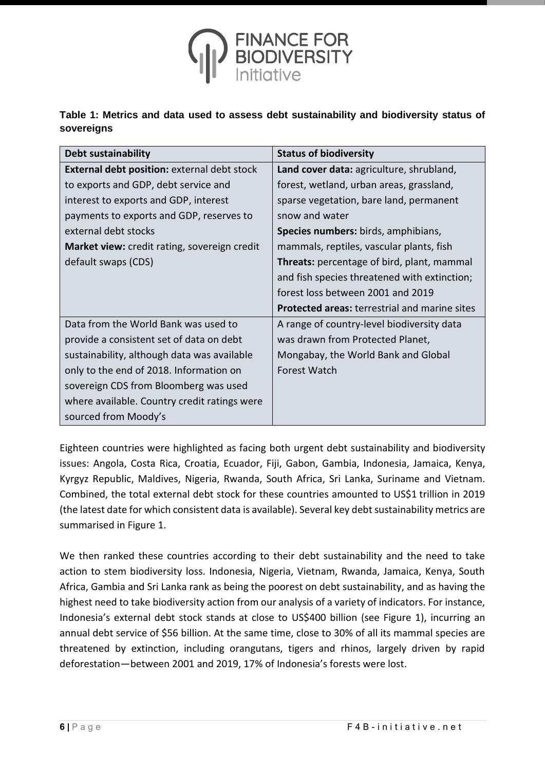

**Table 1: Metrics and data used to assess debt sustainability and biodiversity status of sovereigns** 

| <b>Debt sustainability</b>                          | <b>Status of biodiversity</b>                        |
|-----------------------------------------------------|------------------------------------------------------|
| <b>External debt position: external debt stock</b>  | Land cover data: agriculture, shrubland,             |
| to exports and GDP, debt service and                | forest, wetland, urban areas, grassland,             |
| interest to exports and GDP, interest               | sparse vegetation, bare land, permanent              |
| payments to exports and GDP, reserves to            | snow and water                                       |
| external debt stocks                                | Species numbers: birds, amphibians,                  |
| <b>Market view:</b> credit rating, sovereign credit | mammals, reptiles, vascular plants, fish             |
| default swaps (CDS)                                 | <b>Threats:</b> percentage of bird, plant, mammal    |
|                                                     | and fish species threatened with extinction;         |
|                                                     | forest loss between 2001 and 2019                    |
|                                                     | <b>Protected areas: terrestrial and marine sites</b> |
| Data from the World Bank was used to                | A range of country-level biodiversity data           |
| provide a consistent set of data on debt            | was drawn from Protected Planet,                     |
| sustainability, although data was available         | Mongabay, the World Bank and Global                  |
| only to the end of 2018. Information on             | <b>Forest Watch</b>                                  |
| sovereign CDS from Bloomberg was used               |                                                      |
| where available. Country credit ratings were        |                                                      |
| sourced from Moody's                                |                                                      |

Eighteen countries were highlighted as facing both urgent debt sustainability and biodiversity issues: Angola, Costa Rica, Croatia, Ecuador, Fiji, Gabon, Gambia, Indonesia, Jamaica, Kenya, Kyrgyz Republic, Maldives, Nigeria, Rwanda, South Africa, Sri Lanka, Suriname and Vietnam. Combined, the total external debt stock for these countries amounted to US\$1 trillion in 2019 (the latest date for which consistent data is available). Several key debt sustainability metrics are summarised in Figure 1.

We then ranked these countries according to their debt sustainability and the need to take action to stem biodiversity loss. Indonesia, Nigeria, Vietnam, Rwanda, Jamaica, Kenya, South Africa, Gambia and Sri Lanka rank as being the poorest on debt sustainability, and as having the highest need to take biodiversity action from our analysis of a variety of indicators. For instance, Indonesia's external debt stock stands at close to US\$400 billion (see Figure 1), incurring an annual debt service of \$56 billion. At the same time, close to 30% of all its mammal species are threatened by extinction, including orangutans, tigers and rhinos, largely driven by rapid deforestation—between 2001 and 2019, 17% of Indonesia's forests were lost.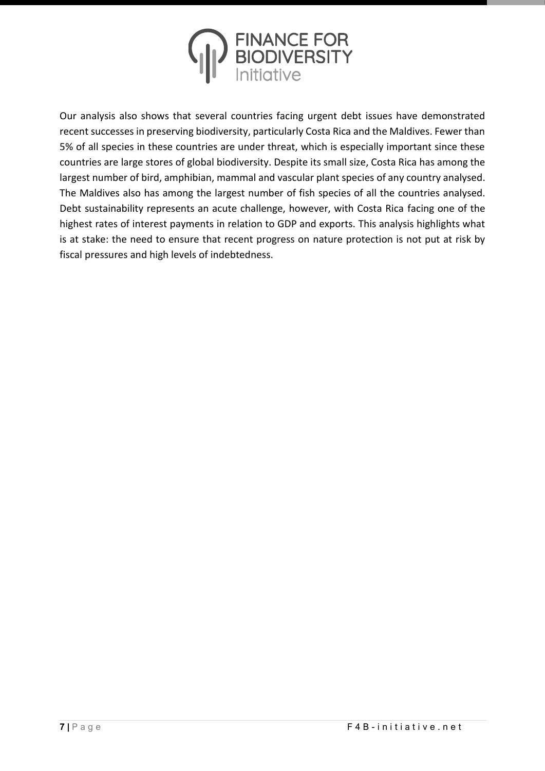

Our analysis also shows that several countries facing urgent debt issues have demonstrated recent successes in preserving biodiversity, particularly Costa Rica and the Maldives. Fewer than 5% of all species in these countries are under threat, which is especially important since these countries are large stores of global biodiversity. Despite its small size, Costa Rica has among the largest number of bird, amphibian, mammal and vascular plant species of any country analysed. The Maldives also has among the largest number of fish species of all the countries analysed. Debt sustainability represents an acute challenge, however, with Costa Rica facing one of the highest rates of interest payments in relation to GDP and exports. This analysis highlights what is at stake: the need to ensure that recent progress on nature protection is not put at risk by fiscal pressures and high levels of indebtedness.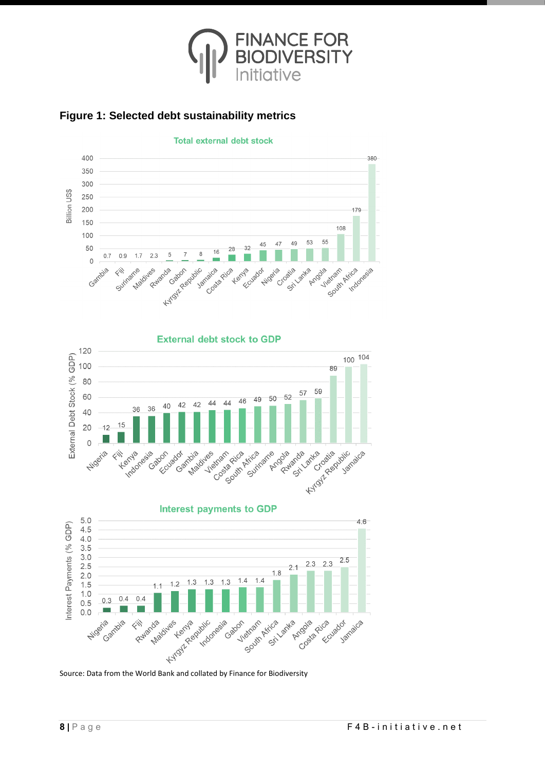



120

100

80

60

40

 $20$ 

 $\circ$ 

Nigeria

External Debt Stock (% GDP)





**External debt stock to GDP** 

44 44

Vietnam

Madiyes

 $42$ 42

40

sbon. add adot play

sia don

36 36

ientle design

Henda

 $15$ 

 $\begin{picture}(20,20)(-2.5,0.0) \put(0,0){\vector(1,0){10}} \put(15,0){\vector(1,0){10}} \put(15,0){\vector(1,0){10}} \put(15,0){\vector(1,0){10}} \put(15,0){\vector(1,0){10}} \put(15,0){\vector(1,0){10}} \put(15,0){\vector(1,0){10}} \put(15,0){\vector(1,0){10}} \put(15,0){\vector(1,0){10}} \put(15,0){\vector(1,0){10}} \put(15,0){\vector(1,0){10}} \put($ 

 $12$ 

**Total external debt stock** 

FINANCE FO<mark>R</mark><br>BIODIVERSITY

# **Figure 1: Selected debt sustainability metrics**

100 104

Jamaica

89

59 57

50 52

Arnadas Ruverick Janda priva

49 46

Suringme

South Asirin Cocoolity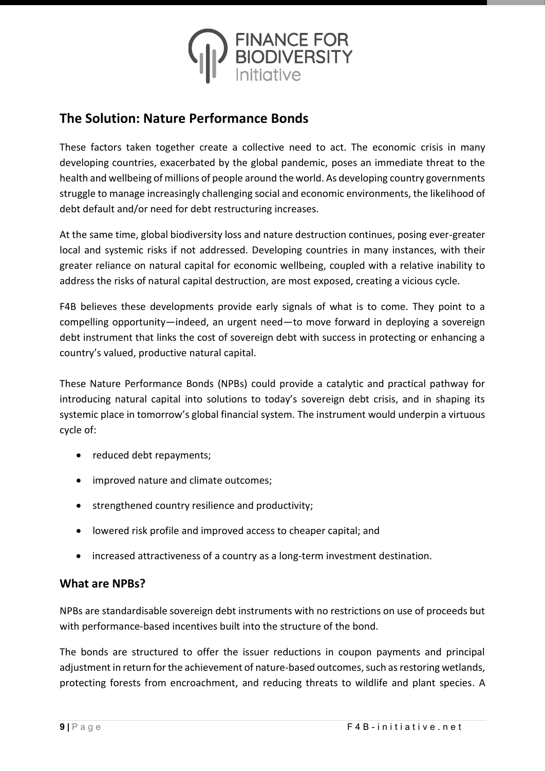

# **The Solution: Nature Performance Bonds**

These factors taken together create a collective need to act. The economic crisis in many developing countries, exacerbated by the global pandemic, poses an immediate threat to the health and wellbeing of millions of people around the world. As developing country governments struggle to manage increasingly challenging social and economic environments, the likelihood of debt default and/or need for debt restructuring increases.

At the same time, global biodiversity loss and nature destruction continues, posing ever-greater local and systemic risks if not addressed. Developing countries in many instances, with their greater reliance on natural capital for economic wellbeing, coupled with a relative inability to address the risks of natural capital destruction, are most exposed, creating a vicious cycle.

F4B believes these developments provide early signals of what is to come. They point to a compelling opportunity—indeed, an urgent need—to move forward in deploying a sovereign debt instrument that links the cost of sovereign debt with success in protecting or enhancing a country's valued, productive natural capital.

These Nature Performance Bonds (NPBs) could provide a catalytic and practical pathway for introducing natural capital into solutions to today's sovereign debt crisis, and in shaping its systemic place in tomorrow's global financial system. The instrument would underpin a virtuous cycle of:

- reduced debt repayments;
- improved nature and climate outcomes;
- strengthened country resilience and productivity;
- lowered risk profile and improved access to cheaper capital; and
- increased attractiveness of a country as a long-term investment destination.

### **What are NPBs?**

NPBs are standardisable sovereign debt instruments with no restrictions on use of proceeds but with performance-based incentives built into the structure of the bond.

The bonds are structured to offer the issuer reductions in coupon payments and principal adjustment in return for the achievement of nature-based outcomes, such as restoring wetlands, protecting forests from encroachment, and reducing threats to wildlife and plant species. A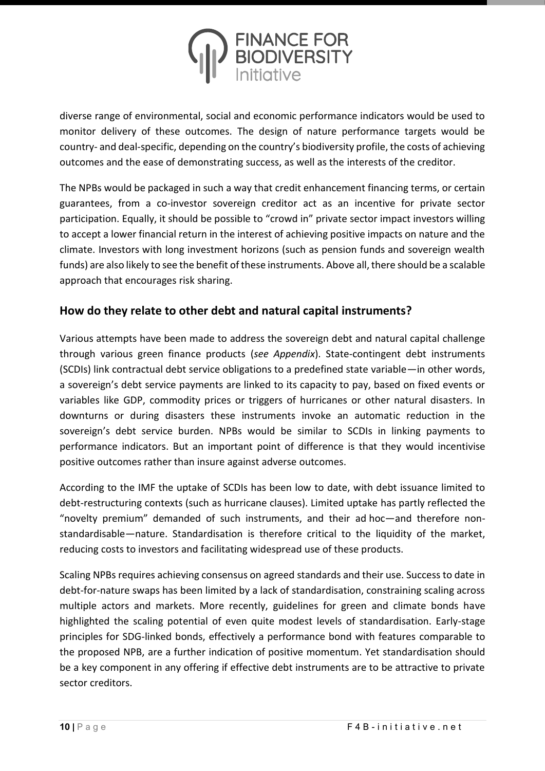

diverse range of environmental, social and economic performance indicators would be used to monitor delivery of these outcomes. The design of nature performance targets would be country- and deal-specific, depending on the country's biodiversity profile, the costs of achieving outcomes and the ease of demonstrating success, as well as the interests of the creditor.

The NPBs would be packaged in such a way that credit enhancement financing terms, or certain guarantees, from a co-investor sovereign creditor act as an incentive for private sector participation. Equally, it should be possible to "crowd in" private sector impact investors willing to accept a lower financial return in the interest of achieving positive impacts on nature and the climate. Investors with long investment horizons (such as pension funds and sovereign wealth funds) are also likely to see the benefit of these instruments. Above all, there should be a scalable approach that encourages risk sharing.

### **How do they relate to other debt and natural capital instruments?**

Various attempts have been made to address the sovereign debt and natural capital challenge through various green finance products (*see Appendix*). State-contingent debt instruments (SCDIs) link contractual debt service obligations to a predefined state variable—in other words, a sovereign's debt service payments are linked to its capacity to pay, based on fixed events or variables like GDP, commodity prices or triggers of hurricanes or other natural disasters. In downturns or during disasters these instruments invoke an automatic reduction in the sovereign's debt service burden. NPBs would be similar to SCDIs in linking payments to performance indicators. But an important point of difference is that they would incentivise positive outcomes rather than insure against adverse outcomes.

According to the IMF the uptake of SCDIs has been low to date, with debt issuance limited to debt-restructuring contexts (such as hurricane clauses). Limited uptake has partly reflected the "novelty premium" demanded of such instruments, and their ad hoc—and therefore nonstandardisable—nature. Standardisation is therefore critical to the liquidity of the market, reducing costs to investors and facilitating widespread use of these products.

Scaling NPBs requires achieving consensus on agreed standards and their use. Success to date in debt-for-nature swaps has been limited by a lack of standardisation, constraining scaling across multiple actors and markets. More recently, guidelines for green and climate bonds have highlighted the scaling potential of even quite modest levels of standardisation. Early-stage principles for SDG-linked bonds, effectively a performance bond with features comparable to the proposed NPB, are a further indication of positive momentum. Yet standardisation should be a key component in any offering if effective debt instruments are to be attractive to private sector creditors.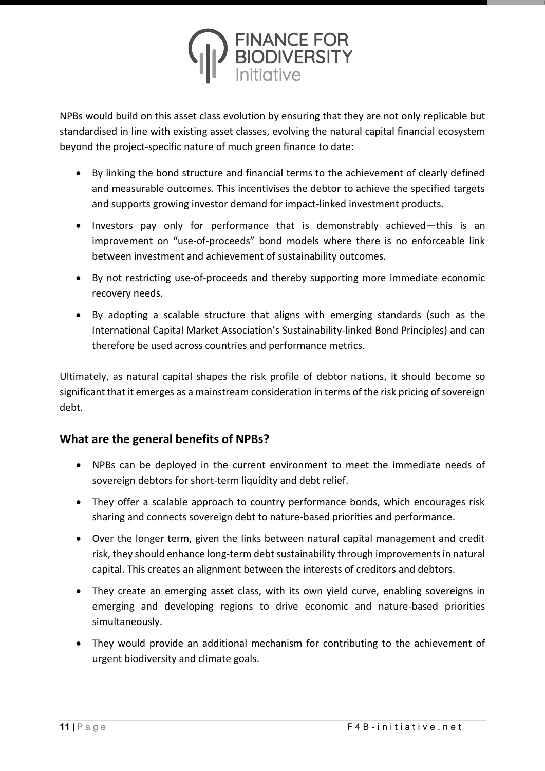

NPBs would build on this asset class evolution by ensuring that they are not only replicable but standardised in line with existing asset classes, evolving the natural capital financial ecosystem beyond the project-specific nature of much green finance to date:

- By linking the bond structure and financial terms to the achievement of clearly defined and measurable outcomes. This incentivises the debtor to achieve the specified targets and supports growing investor demand for impact-linked investment products.
- Investors pay only for performance that is demonstrably achieved—this is an improvement on "use-of-proceeds" bond models where there is no enforceable link between investment and achievement of sustainability outcomes.
- By not restricting use-of-proceeds and thereby supporting more immediate economic recovery needs.
- By adopting a scalable structure that aligns with emerging standards (such as the International Capital Market Association's Sustainability-linked Bond Principles) and can therefore be used across countries and performance metrics.

Ultimately, as natural capital shapes the risk profile of debtor nations, it should become so significant that it emerges as a mainstream consideration in terms of the risk pricing of sovereign debt.

# **What are the general benefits of NPBs?**

- NPBs can be deployed in the current environment to meet the immediate needs of sovereign debtors for short-term liquidity and debt relief.
- They offer a scalable approach to country performance bonds, which encourages risk sharing and connects sovereign debt to nature-based priorities and performance.
- Over the longer term, given the links between natural capital management and credit risk, they should enhance long-term debt sustainability through improvements in natural capital. This creates an alignment between the interests of creditors and debtors.
- They create an emerging asset class, with its own yield curve, enabling sovereigns in emerging and developing regions to drive economic and nature-based priorities simultaneously.
- They would provide an additional mechanism for contributing to the achievement of urgent biodiversity and climate goals.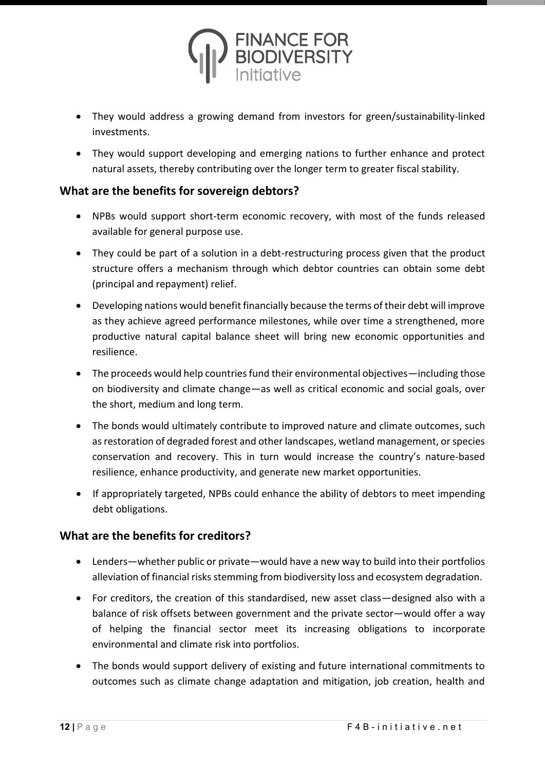

- They would address a growing demand from investors for green/sustainability-linked investments.
- They would support developing and emerging nations to further enhance and protect natural assets, thereby contributing over the longer term to greater fiscal stability.

### **What are the benefits for sovereign debtors?**

- NPBs would support short-term economic recovery, with most of the funds released available for general purpose use.
- They could be part of a solution in a debt-restructuring process given that the product structure offers a mechanism through which debtor countries can obtain some debt (principal and repayment) relief.
- Developing nations would benefit financially because the terms of their debt will improve as they achieve agreed performance milestones, while over time a strengthened, more productive natural capital balance sheet will bring new economic opportunities and resilience.
- The proceeds would help countries fund their environmental objectives—including those on biodiversity and climate change—as well as critical economic and social goals, over the short, medium and long term.
- The bonds would ultimately contribute to improved nature and climate outcomes, such as restoration of degraded forest and other landscapes, wetland management, or species conservation and recovery. This in turn would increase the country's nature-based resilience, enhance productivity, and generate new market opportunities.
- If appropriately targeted, NPBs could enhance the ability of debtors to meet impending debt obligations.

### **What are the benefits for creditors?**

- Lenders—whether public or private—would have a new way to build into their portfolios alleviation of financial risks stemming from biodiversity loss and ecosystem degradation.
- For creditors, the creation of this standardised, new asset class—designed also with a balance of risk offsets between government and the private sector—would offer a way of helping the financial sector meet its increasing obligations to incorporate environmental and climate risk into portfolios.
- The bonds would support delivery of existing and future international commitments to outcomes such as climate change adaptation and mitigation, job creation, health and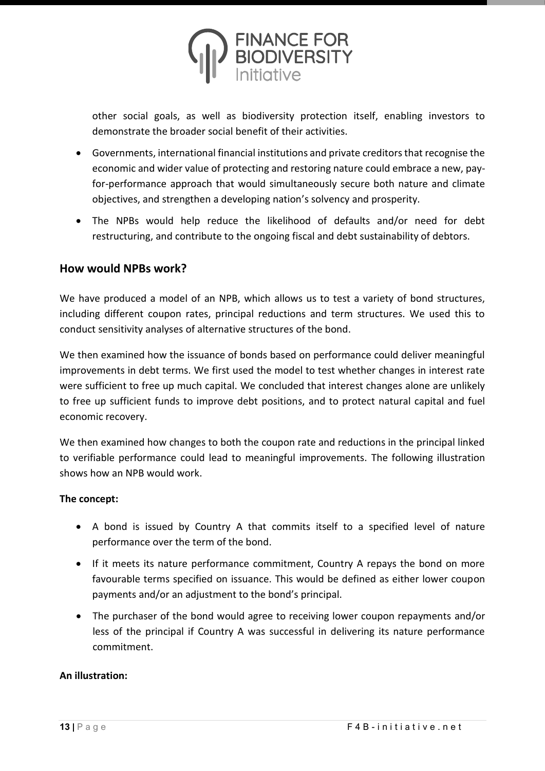

other social goals, as well as biodiversity protection itself, enabling investors to demonstrate the broader social benefit of their activities.

- Governments, international financial institutions and private creditors that recognise the economic and wider value of protecting and restoring nature could embrace a new, payfor-performance approach that would simultaneously secure both nature and climate objectives, and strengthen a developing nation's solvency and prosperity.
- The NPBs would help reduce the likelihood of defaults and/or need for debt restructuring, and contribute to the ongoing fiscal and debt sustainability of debtors.

#### **How would NPBs work?**

We have produced a model of an NPB, which allows us to test a variety of bond structures, including different coupon rates, principal reductions and term structures. We used this to conduct sensitivity analyses of alternative structures of the bond.

We then examined how the issuance of bonds based on performance could deliver meaningful improvements in debt terms. We first used the model to test whether changes in interest rate were sufficient to free up much capital. We concluded that interest changes alone are unlikely to free up sufficient funds to improve debt positions, and to protect natural capital and fuel economic recovery.

We then examined how changes to both the coupon rate and reductions in the principal linked to verifiable performance could lead to meaningful improvements. The following illustration shows how an NPB would work.

#### **The concept:**

- A bond is issued by Country A that commits itself to a specified level of nature performance over the term of the bond.
- If it meets its nature performance commitment, Country A repays the bond on more favourable terms specified on issuance. This would be defined as either lower coupon payments and/or an adjustment to the bond's principal.
- The purchaser of the bond would agree to receiving lower coupon repayments and/or less of the principal if Country A was successful in delivering its nature performance commitment.

#### **An illustration:**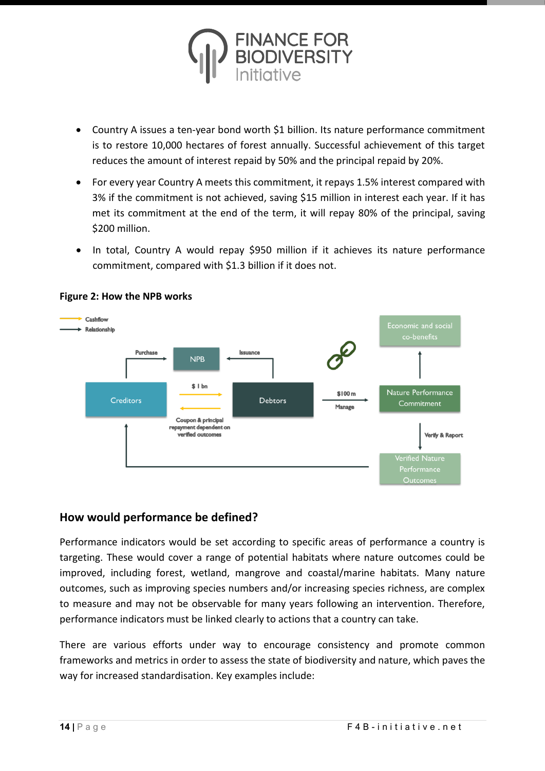

- Country A issues a ten-year bond worth \$1 billion. Its nature performance commitment is to restore 10,000 hectares of forest annually. Successful achievement of this target reduces the amount of interest repaid by 50% and the principal repaid by 20%.
- For every year Country A meets this commitment, it repays 1.5% interest compared with 3% if the commitment is not achieved, saving \$15 million in interest each year. If it has met its commitment at the end of the term, it will repay 80% of the principal, saving \$200 million.
- In total, Country A would repay \$950 million if it achieves its nature performance commitment, compared with \$1.3 billion if it does not.



#### **Figure 2: How the NPB works**

# **How would performance be defined?**

Performance indicators would be set according to specific areas of performance a country is targeting. These would cover a range of potential habitats where nature outcomes could be improved, including forest, wetland, mangrove and coastal/marine habitats. Many nature outcomes, such as improving species numbers and/or increasing species richness, are complex to measure and may not be observable for many years following an intervention. Therefore, performance indicators must be linked clearly to actions that a country can take.

There are various efforts under way to encourage consistency and promote common frameworks and metrics in order to assess the state of biodiversity and nature, which paves the way for increased standardisation. Key examples include: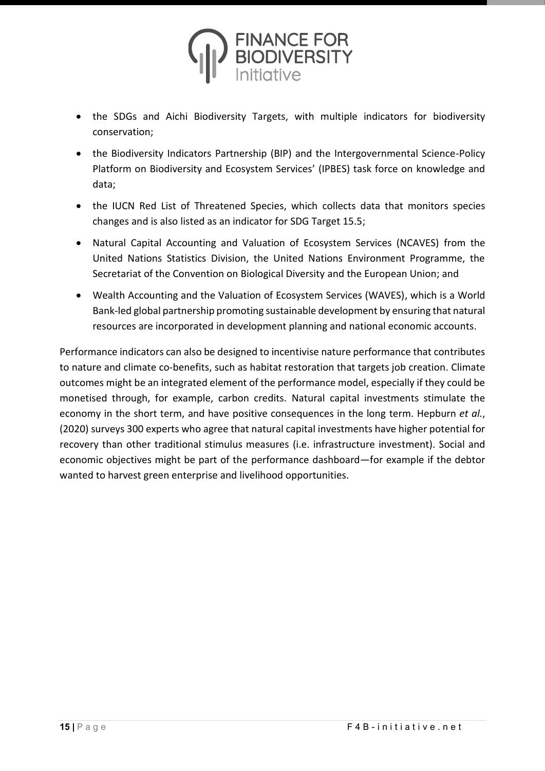

- the SDGs and Aichi Biodiversity Targets, with multiple indicators for biodiversity conservation;
- the Biodiversity Indicators Partnership (BIP) and the Intergovernmental Science-Policy Platform on Biodiversity and Ecosystem Services' (IPBES) task force on knowledge and data;
- the IUCN Red List of Threatened Species, which collects data that monitors species changes and is also listed as an indicator for SDG Target 15.5;
- Natural Capital Accounting and Valuation of Ecosystem Services (NCAVES) from the United Nations Statistics Division, the United Nations Environment Programme, the Secretariat of the Convention on Biological Diversity and the European Union; and
- Wealth Accounting and the Valuation of Ecosystem Services (WAVES), which is a World Bank-led global partnership promoting sustainable development by ensuring that natural resources are incorporated in development planning and national economic accounts.

Performance indicators can also be designed to incentivise nature performance that contributes to nature and climate co-benefits, such as habitat restoration that targets job creation. Climate outcomes might be an integrated element of the performance model, especially if they could be monetised through, for example, carbon credits. Natural capital investments stimulate the economy in the short term, and have positive consequences in the long term. Hepburn *et al.*, (2020) surveys 300 experts who agree that natural capital investments have higher potential for recovery than other traditional stimulus measures (i.e. infrastructure investment). Social and economic objectives might be part of the performance dashboard—for example if the debtor wanted to harvest green enterprise and livelihood opportunities.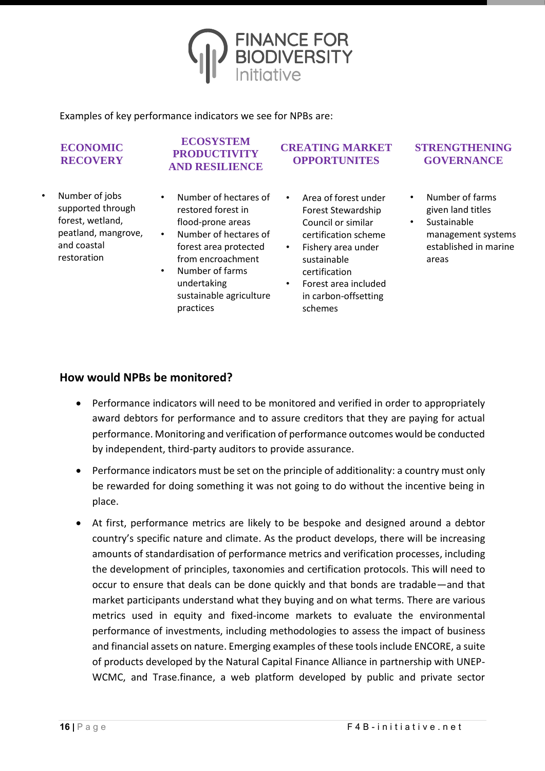

Examples of key performance indicators we see for NPBs are:

#### **ECONOMIC RECOVERY**

- Number of jobs supported through forest, wetland, peatland, mangrove, and coastal restoration
- **PRODUCTIVITY AND RESILIENCE**

**ECOSYSTEM** 

- Number of hectares of restored forest in flood-prone areas
- Number of hectares of forest area protected from encroachment
- Number of farms undertaking sustainable agriculture practices
- **CREATING MARKET OPPORTUNITES**
	- Area of forest under Forest Stewardship Council or similar certification scheme
	- Fishery area under sustainable certification
	- Forest area included in carbon-offsetting schemes

#### **STRENGTHENING GOVERNANCE**

- Number of farms given land titles
- **Sustainable** management systems established in marine areas

#### **How would NPBs be monitored?**

- Performance indicators will need to be monitored and verified in order to appropriately award debtors for performance and to assure creditors that they are paying for actual performance. Monitoring and verification of performance outcomes would be conducted by independent, third-party auditors to provide assurance.
- Performance indicators must be set on the principle of additionality: a country must only be rewarded for doing something it was not going to do without the incentive being in place.
- At first, performance metrics are likely to be bespoke and designed around a debtor country's specific nature and climate. As the product develops, there will be increasing amounts of standardisation of performance metrics and verification processes, including the development of principles, taxonomies and certification protocols. This will need to occur to ensure that deals can be done quickly and that bonds are tradable—and that market participants understand what they buying and on what terms. There are various metrics used in equity and fixed-income markets to evaluate the environmental performance of investments, including methodologies to assess the impact of business and financial assets on nature. Emerging examples of these tools include ENCORE, a suite of products developed by the Natural Capital Finance Alliance in partnership with UNEP-WCMC, and Trase.finance, a web platform developed by public and private sector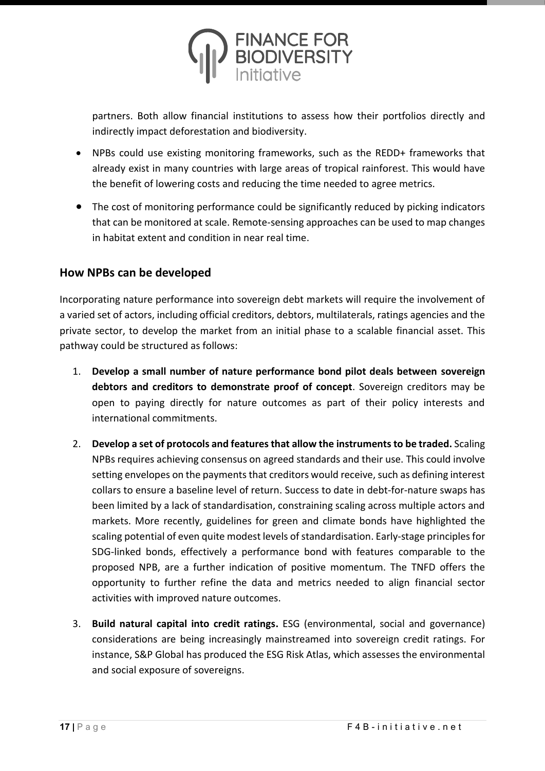

partners. Both allow financial institutions to assess how their portfolios directly and indirectly impact deforestation and biodiversity.

- NPBs could use existing monitoring frameworks, such as the REDD+ frameworks that already exist in many countries with large areas of tropical rainforest. This would have the benefit of lowering costs and reducing the time needed to agree metrics.
- The cost of monitoring performance could be significantly reduced by picking indicators that can be monitored at scale. Remote-sensing approaches can be used to map changes in habitat extent and condition in near real time.

### **How NPBs can be developed**

Incorporating nature performance into sovereign debt markets will require the involvement of a varied set of actors, including official creditors, debtors, multilaterals, ratings agencies and the private sector, to develop the market from an initial phase to a scalable financial asset. This pathway could be structured as follows:

- 1. **Develop a small number of nature performance bond pilot deals between sovereign debtors and creditors to demonstrate proof of concept**. Sovereign creditors may be open to paying directly for nature outcomes as part of their policy interests and international commitments.
- 2. **Develop a set of protocols and features that allow the instrumentsto be traded.** Scaling NPBs requires achieving consensus on agreed standards and their use. This could involve setting envelopes on the payments that creditors would receive, such as defining interest collars to ensure a baseline level of return. Success to date in debt-for-nature swaps has been limited by a lack of standardisation, constraining scaling across multiple actors and markets. More recently, guidelines for green and climate bonds have highlighted the scaling potential of even quite modest levels of standardisation. Early-stage principles for SDG-linked bonds, effectively a performance bond with features comparable to the proposed NPB, are a further indication of positive momentum. The TNFD offers the opportunity to further refine the data and metrics needed to align financial sector activities with improved nature outcomes.
- 3. **Build natural capital into credit ratings.** ESG (environmental, social and governance) considerations are being increasingly mainstreamed into sovereign credit ratings. For instance, S&P Global has produced the ESG Risk Atlas, which assesses the environmental and social exposure of sovereigns.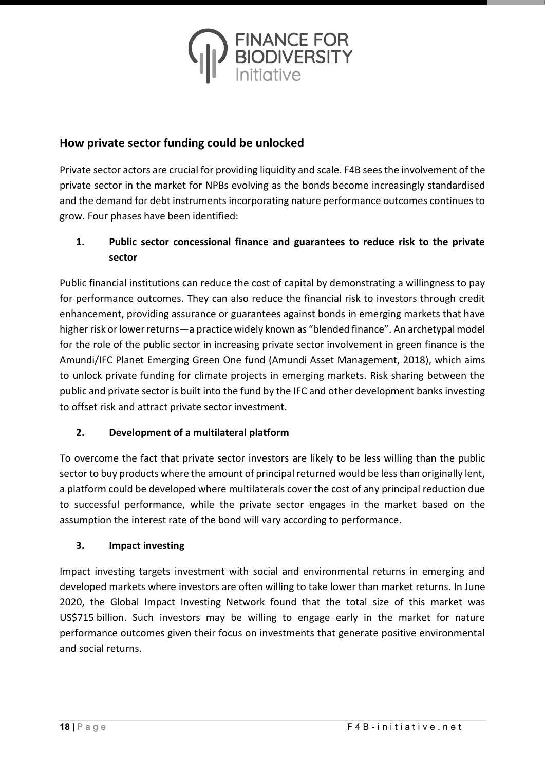

## **How private sector funding could be unlocked**

Private sector actors are crucial for providing liquidity and scale. F4B sees the involvement of the private sector in the market for NPBs evolving as the bonds become increasingly standardised and the demand for debt instruments incorporating nature performance outcomes continues to grow. Four phases have been identified:

### **1. Public sector concessional finance and guarantees to reduce risk to the private sector**

Public financial institutions can reduce the cost of capital by demonstrating a willingness to pay for performance outcomes. They can also reduce the financial risk to investors through credit enhancement, providing assurance or guarantees against bonds in emerging markets that have higher risk or lower returns—a practice widely known as "blended finance". An archetypal model for the role of the public sector in increasing private sector involvement in green finance is the Amundi/IFC Planet Emerging Green One fund (Amundi Asset Management, 2018), which aims to unlock private funding for climate projects in emerging markets. Risk sharing between the public and private sector is built into the fund by the IFC and other development banks investing to offset risk and attract private sector investment.

### **2. Development of a multilateral platform**

To overcome the fact that private sector investors are likely to be less willing than the public sector to buy products where the amount of principal returned would be less than originally lent, a platform could be developed where multilaterals cover the cost of any principal reduction due to successful performance, while the private sector engages in the market based on the assumption the interest rate of the bond will vary according to performance.

#### **3. Impact investing**

Impact investing targets investment with social and environmental returns in emerging and developed markets where investors are often willing to take lower than market returns. In June 2020, the Global Impact Investing Network found that the total size of this market was US\$715 billion. Such investors may be willing to engage early in the market for nature performance outcomes given their focus on investments that generate positive environmental and social returns.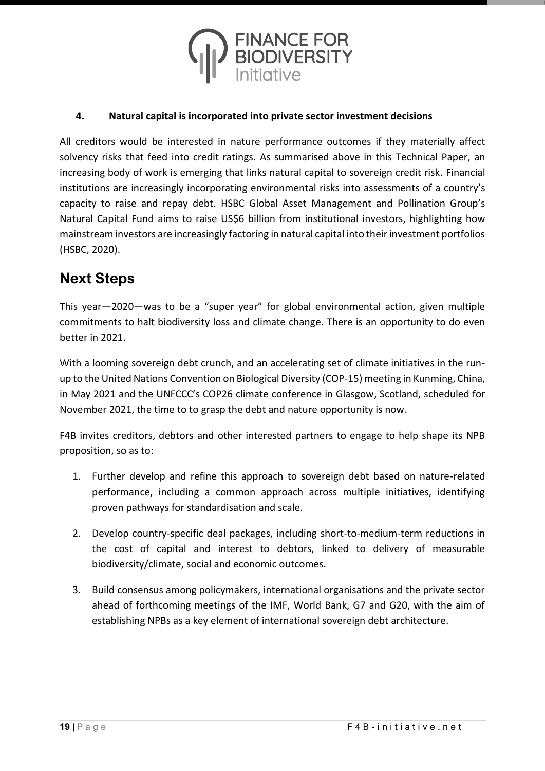

#### **4. Natural capital is incorporated into private sector investment decisions**

All creditors would be interested in nature performance outcomes if they materially affect solvency risks that feed into credit ratings. As summarised above in this Technical Paper, an increasing body of work is emerging that links natural capital to sovereign credit risk. Financial institutions are increasingly incorporating environmental risks into assessments of a country's capacity to raise and repay debt. HSBC Global Asset Management and Pollination Group's Natural Capital Fund aims to raise US\$6 billion from institutional investors, highlighting how mainstream investors are increasingly factoring in natural capital into their investment portfolios (HSBC, 2020).

# **Next Steps**

This year—2020—was to be a "super year" for global environmental action, given multiple commitments to halt biodiversity loss and climate change. There is an opportunity to do even better in 2021.

With a looming sovereign debt crunch, and an accelerating set of climate initiatives in the runup to the United Nations Convention on Biological Diversity (COP-15) meeting in Kunming, China, in May 2021 and the UNFCCC's COP26 climate conference in Glasgow, Scotland, scheduled for November 2021, the time to to grasp the debt and nature opportunity is now.

F4B invites creditors, debtors and other interested partners to engage to help shape its NPB proposition, so as to:

- 1. Further develop and refine this approach to sovereign debt based on nature-related performance, including a common approach across multiple initiatives, identifying proven pathways for standardisation and scale.
- 2. Develop country-specific deal packages, including short-to-medium-term reductions in the cost of capital and interest to debtors, linked to delivery of measurable biodiversity/climate, social and economic outcomes.
- 3. Build consensus among policymakers, international organisations and the private sector ahead of forthcoming meetings of the IMF, World Bank, G7 and G20, with the aim of establishing NPBs as a key element of international sovereign debt architecture.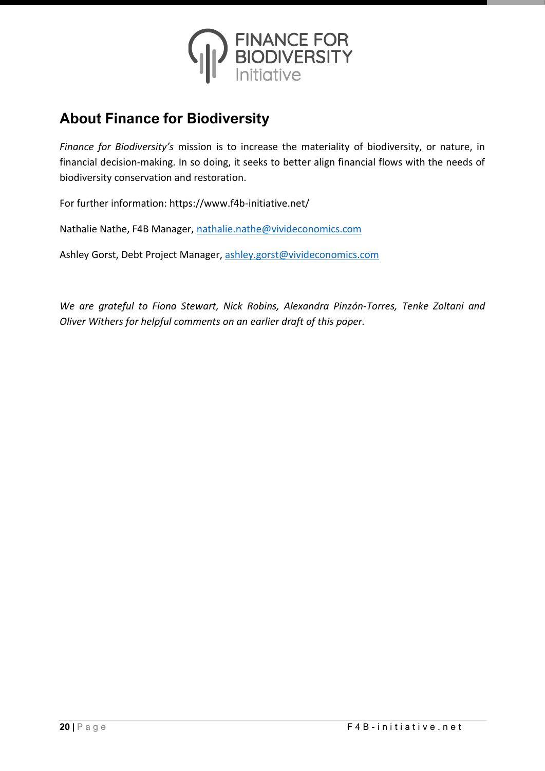

# **About Finance for Biodiversity**

*Finance for Biodiversity's* mission is to increase the materiality of biodiversity, or nature, in financial decision-making. In so doing, it seeks to better align financial flows with the needs of biodiversity conservation and restoration.

For further information: https://www.f4b-initiative.net/

Nathalie Nathe, F4B Manager, [nathalie.nathe@vivideconomics.com](mailto:nathalie.nathe@vivideconomics.com)

Ashley Gorst, Debt Project Manager, [ashley.gorst@vivideconomics.com](mailto:ashley.gorst@vivideconomics.com)

*We are grateful to Fiona Stewart, Nick Robins, Alexandra Pinzón-Torres, Tenke Zoltani and Oliver Withers for helpful comments on an earlier draft of this paper.*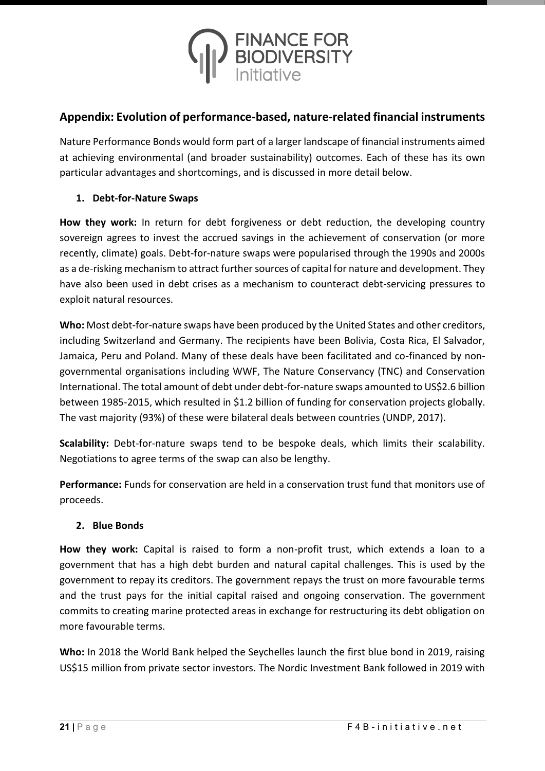

## **Appendix: Evolution of performance-based, nature-related financial instruments**

Nature Performance Bonds would form part of a larger landscape of financial instruments aimed at achieving environmental (and broader sustainability) outcomes. Each of these has its own particular advantages and shortcomings, and is discussed in more detail below.

#### **1. Debt-for-Nature Swaps**

**How they work:** In return for debt forgiveness or debt reduction, the developing country sovereign agrees to invest the accrued savings in the achievement of conservation (or more recently, climate) goals. Debt-for-nature swaps were popularised through the 1990s and 2000s as a de-risking mechanism to attract further sources of capital for nature and development. They have also been used in debt crises as a mechanism to counteract debt-servicing pressures to exploit natural resources.

**Who:** Most debt-for-nature swaps have been produced by the United States and other creditors, including Switzerland and Germany. The recipients have been Bolivia, Costa Rica, El Salvador, Jamaica, Peru and Poland. Many of these deals have been facilitated and co-financed by nongovernmental organisations including WWF, The Nature Conservancy (TNC) and Conservation International. The total amount of debt under debt-for-nature swaps amounted to US\$2.6 billion between 1985-2015, which resulted in \$1.2 billion of funding for conservation projects globally. The vast majority (93%) of these were bilateral deals between countries (UNDP, 2017).

**Scalability:** Debt-for-nature swaps tend to be bespoke deals, which limits their scalability. Negotiations to agree terms of the swap can also be lengthy.

**Performance:** Funds for conservation are held in a conservation trust fund that monitors use of proceeds.

#### **2. Blue Bonds**

**How they work:** Capital is raised to form a non-profit trust, which extends a loan to a government that has a high debt burden and natural capital challenges. This is used by the government to repay its creditors. The government repays the trust on more favourable terms and the trust pays for the initial capital raised and ongoing conservation. The government commits to creating marine protected areas in exchange for restructuring its debt obligation on more favourable terms.

**Who:** In 2018 the World Bank helped the Seychelles launch the first blue bond in 2019, raising US\$15 million from private sector investors. The Nordic Investment Bank followed in 2019 with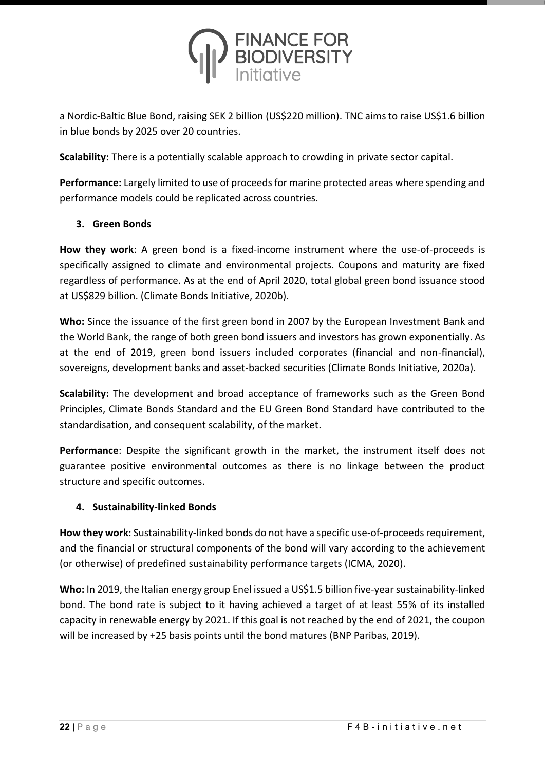

a Nordic-Baltic Blue Bond, raising SEK 2 billion (US\$220 million). TNC aims to raise US\$1.6 billion in blue bonds by 2025 over 20 countries.

**Scalability:** There is a potentially scalable approach to crowding in private sector capital.

**Performance:** Largely limited to use of proceeds for marine protected areas where spending and performance models could be replicated across countries.

#### **3. Green Bonds**

**How they work**: A green bond is a fixed-income instrument where the use-of-proceeds is specifically assigned to climate and environmental projects. Coupons and maturity are fixed regardless of performance. As at the end of April 2020, total global green bond issuance stood at US\$829 billion. (Climate Bonds Initiative, 2020b).

**Who:** Since the issuance of the first green bond in 2007 by the European Investment Bank and the World Bank, the range of both green bond issuers and investors has grown exponentially. As at the end of 2019, green bond issuers included corporates (financial and non-financial), sovereigns, development banks and asset-backed securities (Climate Bonds Initiative, 2020a).

**Scalability:** The development and broad acceptance of frameworks such as the Green Bond Principles, Climate Bonds Standard and the EU Green Bond Standard have contributed to the standardisation, and consequent scalability, of the market.

**Performance**: Despite the significant growth in the market, the instrument itself does not guarantee positive environmental outcomes as there is no linkage between the product structure and specific outcomes.

#### **4. Sustainability-linked Bonds**

**How they work**: Sustainability-linked bonds do not have a specific use-of-proceeds requirement, and the financial or structural components of the bond will vary according to the achievement (or otherwise) of predefined sustainability performance targets (ICMA, 2020).

**Who:** In 2019, the Italian energy group Enel issued a US\$1.5 billion five-year sustainability-linked bond. The bond rate is subject to it having achieved a target of at least 55% of its installed capacity in renewable energy by 2021. If this goal is not reached by the end of 2021, the coupon will be increased by +25 basis points until the bond matures (BNP Paribas, 2019).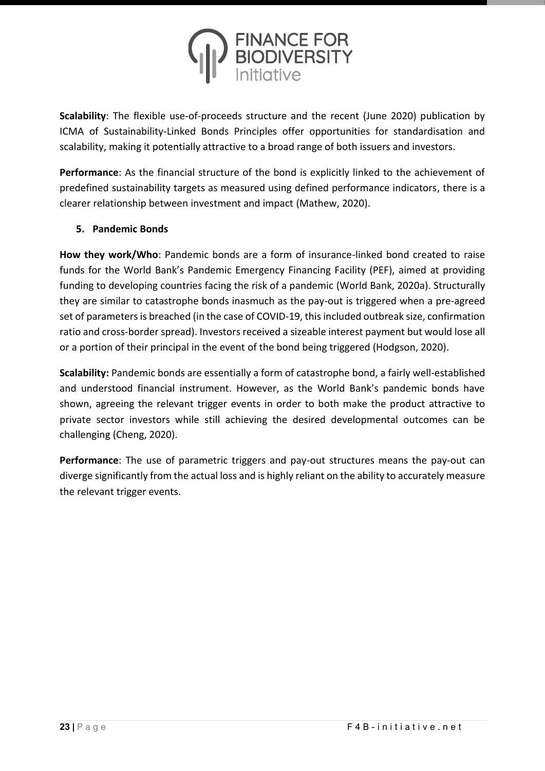

**Scalability**: The flexible use-of-proceeds structure and the recent (June 2020) publication by ICMA of Sustainability-Linked Bonds Principles offer opportunities for standardisation and scalability, making it potentially attractive to a broad range of both issuers and investors.

**Performance**: As the financial structure of the bond is explicitly linked to the achievement of predefined sustainability targets as measured using defined performance indicators, there is a clearer relationship between investment and impact (Mathew, 2020).

#### **5. Pandemic Bonds**

**How they work/Who**: Pandemic bonds are a form of insurance-linked bond created to raise funds for the World Bank's Pandemic Emergency Financing Facility (PEF), aimed at providing funding to developing countries facing the risk of a pandemic (World Bank, 2020a). Structurally they are similar to catastrophe bonds inasmuch as the pay-out is triggered when a pre-agreed set of parameters is breached (in the case of COVID-19, this included outbreak size, confirmation ratio and cross-border spread). Investors received a sizeable interest payment but would lose all or a portion of their principal in the event of the bond being triggered (Hodgson, 2020).

**Scalability:** Pandemic bonds are essentially a form of catastrophe bond, a fairly well-established and understood financial instrument. However, as the World Bank's pandemic bonds have shown, agreeing the relevant trigger events in order to both make the product attractive to private sector investors while still achieving the desired developmental outcomes can be challenging (Cheng, 2020).

**Performance**: The use of parametric triggers and pay-out structures means the pay-out can diverge significantly from the actual loss and is highly reliant on the ability to accurately measure the relevant trigger events.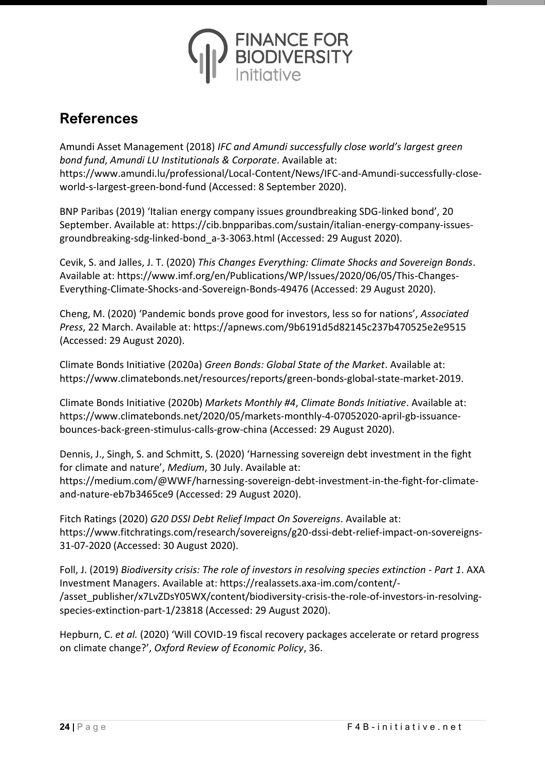

# **References**

Amundi Asset Management (2018) *IFC and Amundi successfully close world's largest green bond fund*, *Amundi LU Institutionals & Corporate*. Available at: https://www.amundi.lu/professional/Local-Content/News/IFC-and-Amundi-successfully-closeworld-s-largest-green-bond-fund (Accessed: 8 September 2020).

BNP Paribas (2019) 'Italian energy company issues groundbreaking SDG-linked bond', 20 September. Available at: https://cib.bnpparibas.com/sustain/italian-energy-company-issuesgroundbreaking-sdg-linked-bond\_a-3-3063.html (Accessed: 29 August 2020).

Cevik, S. and Jalles, J. T. (2020) *This Changes Everything: Climate Shocks and Sovereign Bonds*. Available at: https://www.imf.org/en/Publications/WP/Issues/2020/06/05/This-Changes-Everything-Climate-Shocks-and-Sovereign-Bonds-49476 (Accessed: 29 August 2020).

Cheng, M. (2020) 'Pandemic bonds prove good for investors, less so for nations', *Associated Press*, 22 March. Available at: https://apnews.com/9b6191d5d82145c237b470525e2e9515 (Accessed: 29 August 2020).

Climate Bonds Initiative (2020a) *Green Bonds: Global State of the Market*. Available at: https://www.climatebonds.net/resources/reports/green-bonds-global-state-market-2019.

Climate Bonds Initiative (2020b) *Markets Monthly #4*, *Climate Bonds Initiative*. Available at: https://www.climatebonds.net/2020/05/markets-monthly-4-07052020-april-gb-issuancebounces-back-green-stimulus-calls-grow-china (Accessed: 29 August 2020).

Dennis, J., Singh, S. and Schmitt, S. (2020) 'Harnessing sovereign debt investment in the fight for climate and nature', *Medium*, 30 July. Available at: https://medium.com/@WWF/harnessing-sovereign-debt-investment-in-the-fight-for-climateand-nature-eb7b3465ce9 (Accessed: 29 August 2020).

Fitch Ratings (2020) *G20 DSSI Debt Relief Impact On Sovereigns*. Available at: https://www.fitchratings.com/research/sovereigns/g20-dssi-debt-relief-impact-on-sovereigns-31-07-2020 (Accessed: 30 August 2020).

Foll, J. (2019) *Biodiversity crisis: The role of investors in resolving species extinction - Part 1*. AXA Investment Managers. Available at: https://realassets.axa-im.com/content/- /asset\_publisher/x7LvZDsY05WX/content/biodiversity-crisis-the-role-of-investors-in-resolvingspecies-extinction-part-1/23818 (Accessed: 29 August 2020).

Hepburn, C. *et al.* (2020) 'Will COVID-19 fiscal recovery packages accelerate or retard progress on climate change?', *Oxford Review of Economic Policy*, 36.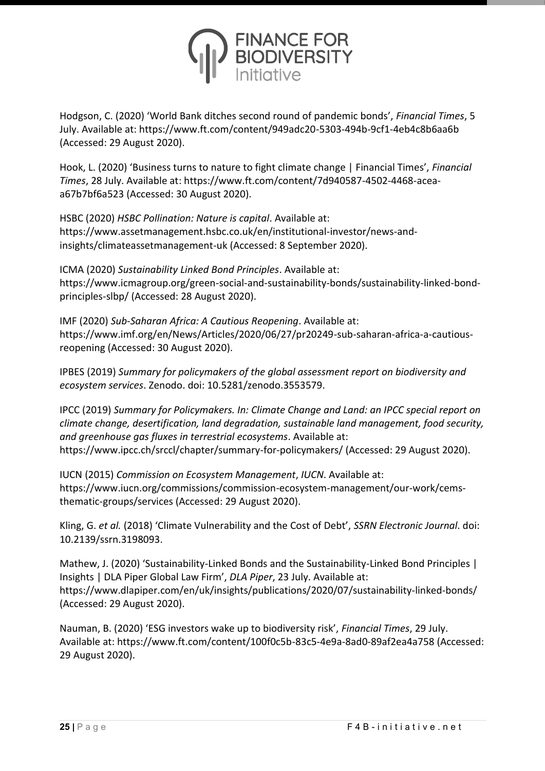

Hodgson, C. (2020) 'World Bank ditches second round of pandemic bonds', *Financial Times*, 5 July. Available at: https://www.ft.com/content/949adc20-5303-494b-9cf1-4eb4c8b6aa6b (Accessed: 29 August 2020).

Hook, L. (2020) 'Business turns to nature to fight climate change | Financial Times', *Financial Times*, 28 July. Available at: https://www.ft.com/content/7d940587-4502-4468-aceaa67b7bf6a523 (Accessed: 30 August 2020).

HSBC (2020) *HSBC Pollination: Nature is capital*. Available at: https://www.assetmanagement.hsbc.co.uk/en/institutional-investor/news-andinsights/climateassetmanagement-uk (Accessed: 8 September 2020).

ICMA (2020) *Sustainability Linked Bond Principles*. Available at: https://www.icmagroup.org/green-social-and-sustainability-bonds/sustainability-linked-bondprinciples-slbp/ (Accessed: 28 August 2020).

IMF (2020) *Sub-Saharan Africa: A Cautious Reopening*. Available at: https://www.imf.org/en/News/Articles/2020/06/27/pr20249-sub-saharan-africa-a-cautiousreopening (Accessed: 30 August 2020).

IPBES (2019) *Summary for policymakers of the global assessment report on biodiversity and ecosystem services*. Zenodo. doi: 10.5281/zenodo.3553579.

IPCC (2019) *Summary for Policymakers. In: Climate Change and Land: an IPCC special report on climate change, desertification, land degradation, sustainable land management, food security, and greenhouse gas fluxes in terrestrial ecosystems*. Available at: https://www.ipcc.ch/srccl/chapter/summary-for-policymakers/ (Accessed: 29 August 2020).

IUCN (2015) *Commission on Ecosystem Management*, *IUCN*. Available at: https://www.iucn.org/commissions/commission-ecosystem-management/our-work/cemsthematic-groups/services (Accessed: 29 August 2020).

Kling, G. *et al.* (2018) 'Climate Vulnerability and the Cost of Debt', *SSRN Electronic Journal*. doi: 10.2139/ssrn.3198093.

Mathew, J. (2020) 'Sustainability-Linked Bonds and the Sustainability-Linked Bond Principles | Insights | DLA Piper Global Law Firm', *DLA Piper*, 23 July. Available at: https://www.dlapiper.com/en/uk/insights/publications/2020/07/sustainability-linked-bonds/ (Accessed: 29 August 2020).

Nauman, B. (2020) 'ESG investors wake up to biodiversity risk', *Financial Times*, 29 July. Available at: https://www.ft.com/content/100f0c5b-83c5-4e9a-8ad0-89af2ea4a758 (Accessed: 29 August 2020).